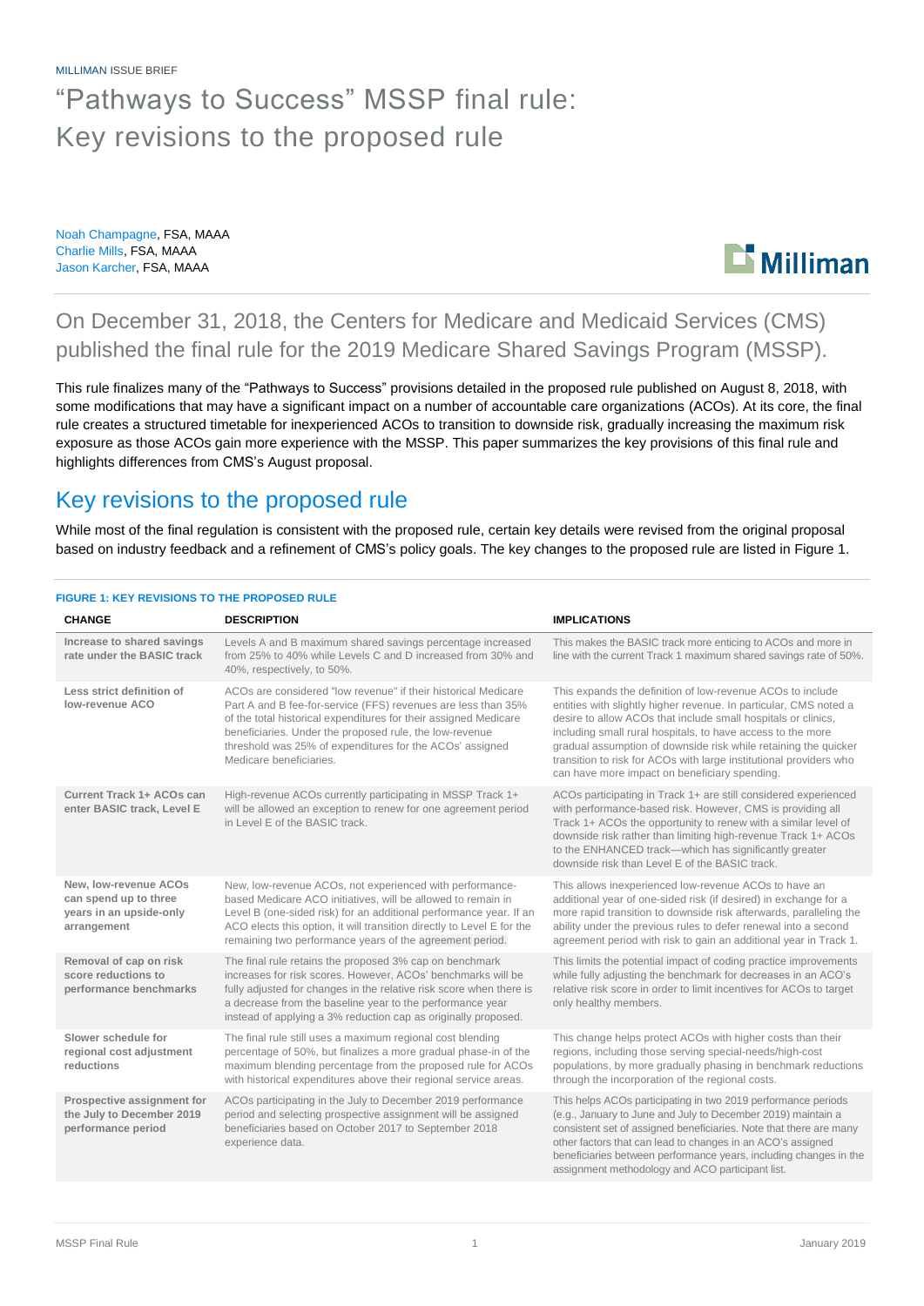MILLIMAN ISSUE BRIEF

# "Pathways to Success" MSSP final rule: Key revisions to the proposed rule

Noah Champagne, FSA, MAAA Charlie Mills, FSA, MAAA Jason Karcher, FSA, MAAA



## On December 31, 2018, the Centers for Medicare and Medicaid Services (CMS) published the final rule for the 2019 Medicare Shared Savings Program (MSSP).

This rule finalizes many of the "Pathways to Success" provisions detailed in the proposed rule published on August 8, 2018, with some modifications that may have a significant impact on a number of accountable care organizations (ACOs). At its core, the final rule creates a structured timetable for inexperienced ACOs to transition to downside risk, gradually increasing the maximum risk exposure as those ACOs gain more experience with the MSSP. This paper summarizes the key provisions of this final rule and highlights differences from CMS's August proposal.

## Key revisions to the proposed rule

While most of the final regulation is consistent with the proposed rule, certain key details were revised from the original proposal based on industry feedback and a refinement of CMS's policy goals. The key changes to the proposed rule are listed in Figure 1.

| <b>FIGURE 1: KEY REVISIONS TO THE PROPOSED RULE</b> |  |  |
|-----------------------------------------------------|--|--|
|                                                     |  |  |

| <b>CHANGE</b>                                                                            | <b>DESCRIPTION</b>                                                                                                                                                                                                                                                                                                                                    | <b>IMPLICATIONS</b>                                                                                                                                                                                                                                                                                                                                                                                                                                       |
|------------------------------------------------------------------------------------------|-------------------------------------------------------------------------------------------------------------------------------------------------------------------------------------------------------------------------------------------------------------------------------------------------------------------------------------------------------|-----------------------------------------------------------------------------------------------------------------------------------------------------------------------------------------------------------------------------------------------------------------------------------------------------------------------------------------------------------------------------------------------------------------------------------------------------------|
| Increase to shared savings<br>rate under the BASIC track                                 | Levels A and B maximum shared savings percentage increased<br>from 25% to 40% while Levels C and D increased from 30% and<br>40%, respectively, to 50%.                                                                                                                                                                                               | This makes the BASIC track more enticing to ACOs and more in<br>line with the current Track 1 maximum shared savings rate of 50%.                                                                                                                                                                                                                                                                                                                         |
| Less strict definition of<br>low-revenue ACO                                             | ACOs are considered "low revenue" if their historical Medicare<br>Part A and B fee-for-service (FFS) revenues are less than 35%<br>of the total historical expenditures for their assigned Medicare<br>beneficiaries. Under the proposed rule, the low-revenue<br>threshold was 25% of expenditures for the ACOs' assigned<br>Medicare beneficiaries. | This expands the definition of low-revenue ACOs to include<br>entities with slightly higher revenue. In particular, CMS noted a<br>desire to allow ACOs that include small hospitals or clinics,<br>including small rural hospitals, to have access to the more<br>gradual assumption of downside risk while retaining the quicker<br>transition to risk for ACOs with large institutional providers who<br>can have more impact on beneficiary spending. |
| Current Track 1+ ACOs can<br>enter BASIC track, Level E                                  | High-revenue ACOs currently participating in MSSP Track 1+<br>will be allowed an exception to renew for one agreement period<br>in Level E of the BASIC track.                                                                                                                                                                                        | ACOs participating in Track 1+ are still considered experienced<br>with performance-based risk. However, CMS is providing all<br>Track 1+ ACOs the opportunity to renew with a similar level of<br>downside risk rather than limiting high-revenue Track 1+ ACOs<br>to the ENHANCED track-which has significantly greater<br>downside risk than Level E of the BASIC track.                                                                               |
| New, low-revenue ACOs<br>can spend up to three<br>years in an upside-only<br>arrangement | New, low-revenue ACOs, not experienced with performance-<br>based Medicare ACO initiatives, will be allowed to remain in<br>Level B (one-sided risk) for an additional performance year. If an<br>ACO elects this option, it will transition directly to Level E for the<br>remaining two performance years of the agreement period.                  | This allows inexperienced low-revenue ACOs to have an<br>additional year of one-sided risk (if desired) in exchange for a<br>more rapid transition to downside risk afterwards, paralleling the<br>ability under the previous rules to defer renewal into a second<br>agreement period with risk to gain an additional year in Track 1.                                                                                                                   |
| Removal of cap on risk<br>score reductions to<br>performance benchmarks                  | The final rule retains the proposed 3% cap on benchmark<br>increases for risk scores. However, ACOs' benchmarks will be<br>fully adjusted for changes in the relative risk score when there is<br>a decrease from the baseline year to the performance year<br>instead of applying a 3% reduction cap as originally proposed.                         | This limits the potential impact of coding practice improvements<br>while fully adjusting the benchmark for decreases in an ACO's<br>relative risk score in order to limit incentives for ACOs to target<br>only healthy members.                                                                                                                                                                                                                         |
| Slower schedule for<br>regional cost adjustment<br>reductions                            | The final rule still uses a maximum regional cost blending<br>percentage of 50%, but finalizes a more gradual phase-in of the<br>maximum blending percentage from the proposed rule for ACOs<br>with historical expenditures above their regional service areas.                                                                                      | This change helps protect ACOs with higher costs than their<br>regions, including those serving special-needs/high-cost<br>populations, by more gradually phasing in benchmark reductions<br>through the incorporation of the regional costs.                                                                                                                                                                                                             |
| Prospective assignment for<br>the July to December 2019<br>performance period            | ACOs participating in the July to December 2019 performance<br>period and selecting prospective assignment will be assigned<br>beneficiaries based on October 2017 to September 2018<br>experience data.                                                                                                                                              | This helps ACOs participating in two 2019 performance periods<br>(e.g., January to June and July to December 2019) maintain a<br>consistent set of assigned beneficiaries. Note that there are many<br>other factors that can lead to changes in an ACO's assigned<br>beneficiaries between performance years, including changes in the<br>assignment methodology and ACO participant list.                                                               |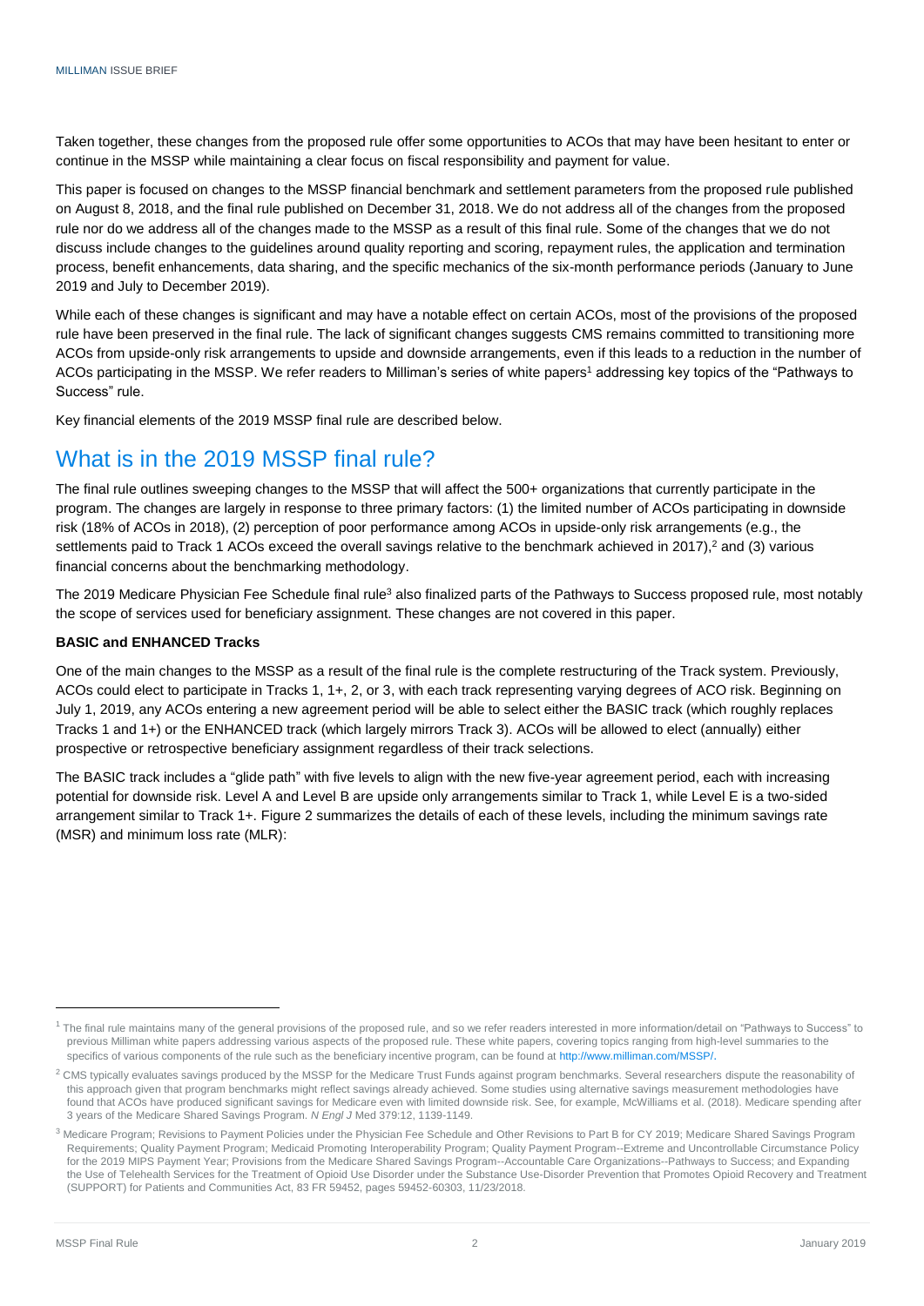Taken together, these changes from the proposed rule offer some opportunities to ACOs that may have been hesitant to enter or continue in the MSSP while maintaining a clear focus on fiscal responsibility and payment for value.

This paper is focused on changes to the MSSP financial benchmark and settlement parameters from the proposed rule published on August 8, 2018, and the final rule published on December 31, 2018. We do not address all of the changes from the proposed rule nor do we address all of the changes made to the MSSP as a result of this final rule. Some of the changes that we do not discuss include changes to the guidelines around quality reporting and scoring, repayment rules, the application and termination process, benefit enhancements, data sharing, and the specific mechanics of the six-month performance periods (January to June 2019 and July to December 2019).

While each of these changes is significant and may have a notable effect on certain ACOs, most of the provisions of the proposed rule have been preserved in the final rule. The lack of significant changes suggests CMS remains committed to transitioning more ACOs from upside-only risk arrangements to upside and downside arrangements, even if this leads to a reduction in the number of ACOs participating in the MSSP. We refer readers to Milliman's series of white papers <sup>1</sup> addressing key topics of the "Pathways to Success" rule.

Key financial elements of the 2019 MSSP final rule are described below.

## What is in the 2019 MSSP final rule?

The final rule outlines sweeping changes to the MSSP that will affect the 500+ organizations that currently participate in the program. The changes are largely in response to three primary factors: (1) the limited number of ACOs participating in downside risk (18% of ACOs in 2018), (2) perception of poor performance among ACOs in upside-only risk arrangements (e.g., the settlements paid to Track 1 ACOs exceed the overall savings relative to the benchmark achieved in 2017),<sup>2</sup> and (3) various financial concerns about the benchmarking methodology.

The 2019 Medicare Physician Fee Schedule final rule<sup>3</sup> also finalized parts of the Pathways to Success proposed rule, most notably the scope of services used for beneficiary assignment. These changes are not covered in this paper.

### **BASIC and ENHANCED Tracks**

One of the main changes to the MSSP as a result of the final rule is the complete restructuring of the Track system. Previously, ACOs could elect to participate in Tracks 1, 1+, 2, or 3, with each track representing varying degrees of ACO risk. Beginning on July 1, 2019, any ACOs entering a new agreement period will be able to select either the BASIC track (which roughly replaces Tracks 1 and 1+) or the ENHANCED track (which largely mirrors Track 3). ACOs will be allowed to elect (annually) either prospective or retrospective beneficiary assignment regardless of their track selections.

The BASIC track includes a "glide path" with five levels to align with the new five-year agreement period, each with increasing potential for downside risk. Level A and Level B are upside only arrangements similar to Track 1, while Level E is a two-sided arrangement similar to Track 1+. Figure 2 summarizes the details of each of these levels, including the minimum savings rate (MSR) and minimum loss rate (MLR):

-

<sup>&</sup>lt;sup>1</sup> The final rule maintains many of the general provisions of the proposed rule, and so we refer readers interested in more information/detail on "Pathways to Success" to previous Milliman white papers addressing various aspects of the proposed rule. These white papers, covering topics ranging from high-level summaries to the specifics of various components of the rule such as the beneficiary incentive program, can be found a[t http://www.milliman.com/MSSP/](http://www.milliman.com/MSSP/).

<sup>&</sup>lt;sup>2</sup> CMS typically evaluates savings produced by the MSSP for the Medicare Trust Funds against program benchmarks. Several researchers dispute the reasonability of this approach given that program benchmarks might reflect savings already achieved. Some studies using alternative savings measurement methodologies have found that ACOs have produced significant savings for Medicare even with limited downside risk. See, for example, McWilliams et al. (2018). Medicare spending after 3 years of the Medicare Shared Savings Program. *N Engl J* Med 379:12, 1139-1149.

<sup>&</sup>lt;sup>3</sup> Medicare Program; Revisions to Payment Policies under the Physician Fee Schedule and Other Revisions to Part B for CY 2019; Medicare Shared Savings Program Requirements; Quality Payment Program; Medicaid Promoting Interoperability Program; Quality Payment Program--Extreme and Uncontrollable Circumstance Policy for the 2019 MIPS Payment Year; Provisions from the Medicare Shared Savings Program--Accountable Care Organizations--Pathways to Success; and Expanding the Use of Telehealth Services for the Treatment of Opioid Use Disorder under the Substance Use-Disorder Prevention that Promotes Opioid Recovery and Treatment (SUPPORT) for Patients and Communities Act, 83 FR 59452, pages 59452-60303, 11/23/2018.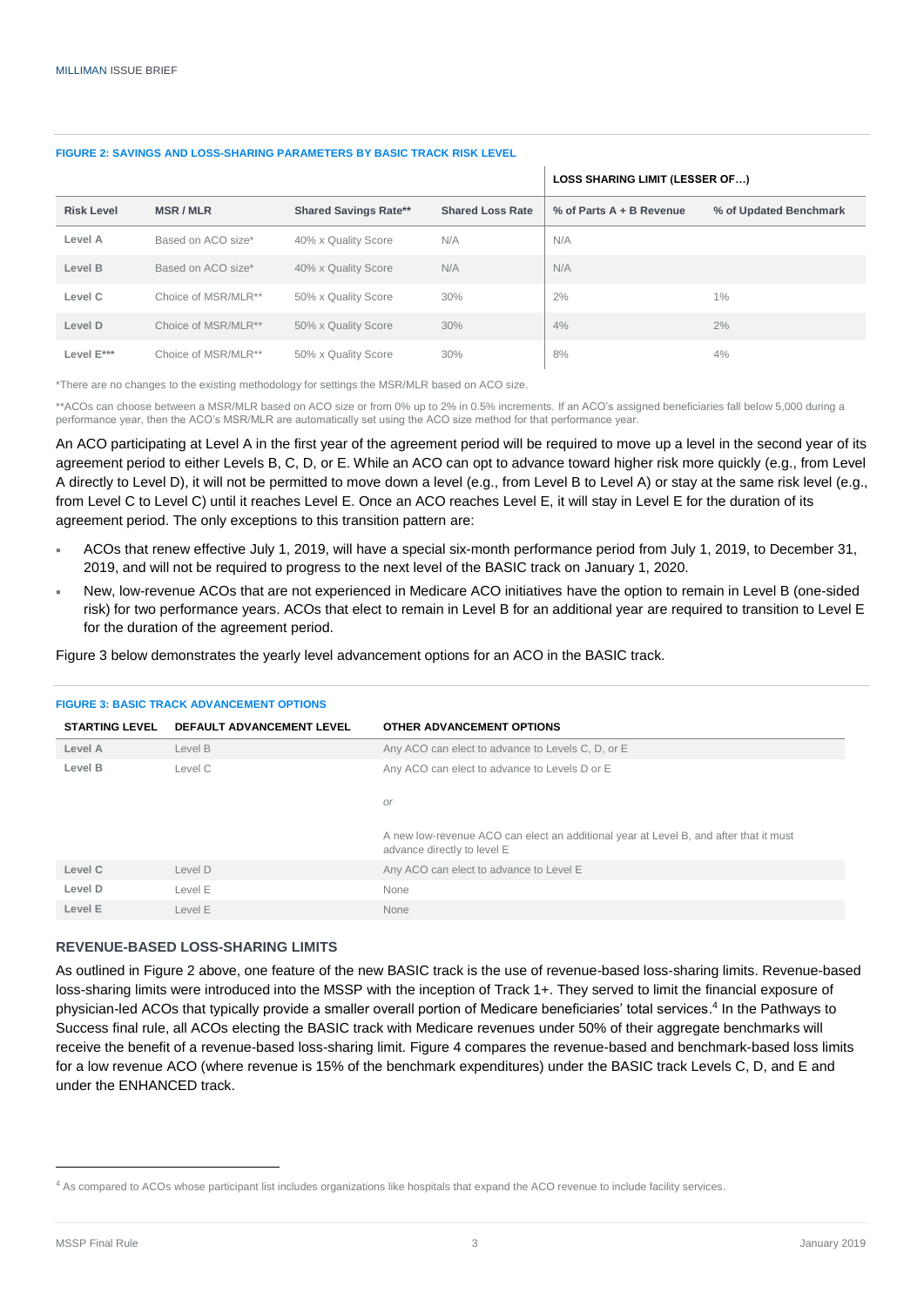#### **FIGURE 2: SAVINGS AND LOSS-SHARING PARAMETERS BY BASIC TRACK RISK LEVEL**

|                   |                     |                              |                         | LOSS SHARING LIMIT (LESSER OF) |                        |
|-------------------|---------------------|------------------------------|-------------------------|--------------------------------|------------------------|
| <b>Risk Level</b> | <b>MSR/MLR</b>      | <b>Shared Savings Rate**</b> | <b>Shared Loss Rate</b> | % of Parts $A + B$ Revenue     | % of Updated Benchmark |
| Level A           | Based on ACO size*  | 40% x Quality Score          | N/A                     | N/A                            |                        |
| Level B           | Based on ACO size*  | 40% x Quality Score          | N/A                     | N/A                            |                        |
| Level C           | Choice of MSR/MLR** | 50% x Quality Score          | 30%                     | 2%                             | 1%                     |
| Level D           | Choice of MSR/MLR** | 50% x Quality Score          | 30%                     | 4%                             | $2\%$                  |
| Level E***        | Choice of MSR/MLR** | 50% x Quality Score          | 30%                     | 8%                             | 4%                     |

\*There are no changes to the existing methodology for settings the MSR/MLR based on ACO size.

\*\*ACOs can choose between a MSR/MLR based on ACO size or from 0% up to 2% in 0.5% increments. If an ACO's assigned beneficiaries fall below 5,000 during a performance year, then the ACO's MSR/MLR are automatically set using the ACO size method for that performance year.

An ACO participating at Level A in the first year of the agreement period will be required to move up a level in the second year of its agreement period to either Levels B, C, D, or E. While an ACO can opt to advance toward higher risk more quickly (e.g., from Level A directly to Level D), it will not be permitted to move down a level (e.g., from Level B to Level A) or stay at the same risk level (e.g., from Level C to Level C) until it reaches Level E. Once an ACO reaches Level E, it will stay in Level E for the duration of its agreement period. The only exceptions to this transition pattern are:

- ACOs that renew effective July 1, 2019, will have a special six-month performance period from July 1, 2019, to December 31, 2019, and will not be required to progress to the next level of the BASIC track on January 1, 2020.
- New, low-revenue ACOs that are not experienced in Medicare ACO initiatives have the option to remain in Level B (one-sided risk) for two performance years. ACOs that elect to remain in Level B for an additional year are required to transition to Level E for the duration of the agreement period.

Figure 3 below demonstrates the yearly level advancement options for an ACO in the BASIC track.

|                       | <b>FIGURE 3: BASIC TRACK ADVANCEMENT OPTIONS</b> |                                                                                                                      |
|-----------------------|--------------------------------------------------|----------------------------------------------------------------------------------------------------------------------|
| <b>STARTING LEVEL</b> | <b>DEFAULT ADVANCEMENT LEVEL</b>                 | OTHER ADVANCEMENT OPTIONS                                                                                            |
| Level A               | Level B                                          | Any ACO can elect to advance to Levels C, D, or E                                                                    |
| Level B               | Level C                                          | Any ACO can elect to advance to Levels D or E                                                                        |
|                       |                                                  | <b>or</b>                                                                                                            |
|                       |                                                  | A new low-revenue ACO can elect an additional year at Level B, and after that it must<br>advance directly to level E |
| Level C               | Level D                                          | Any ACO can elect to advance to Level E                                                                              |
| Level D               | Level E                                          | None                                                                                                                 |
| Level E               | Level E                                          | None                                                                                                                 |

#### **REVENUE-BASED LOSS-SHARING LIMITS**

As outlined in Figure 2 above, one feature of the new BASIC track is the use of revenue-based loss-sharing limits. Revenue-based loss-sharing limits were introduced into the MSSP with the inception of Track 1+. They served to limit the financial exposure of physician-led ACOs that typically provide a smaller overall portion of Medicare beneficiaries' total services. 4 In the Pathways to Success final rule, all ACOs electing the BASIC track with Medicare revenues under 50% of their aggregate benchmarks will receive the benefit of a revenue-based loss-sharing limit. Figure 4 compares the revenue-based and benchmark-based loss limits for a low revenue ACO (where revenue is 15% of the benchmark expenditures) under the BASIC track Levels C, D, and E and under the ENHANCED track.

-

<sup>&</sup>lt;sup>4</sup> As compared to ACOs whose participant list includes organizations like hospitals that expand the ACO revenue to include facility services.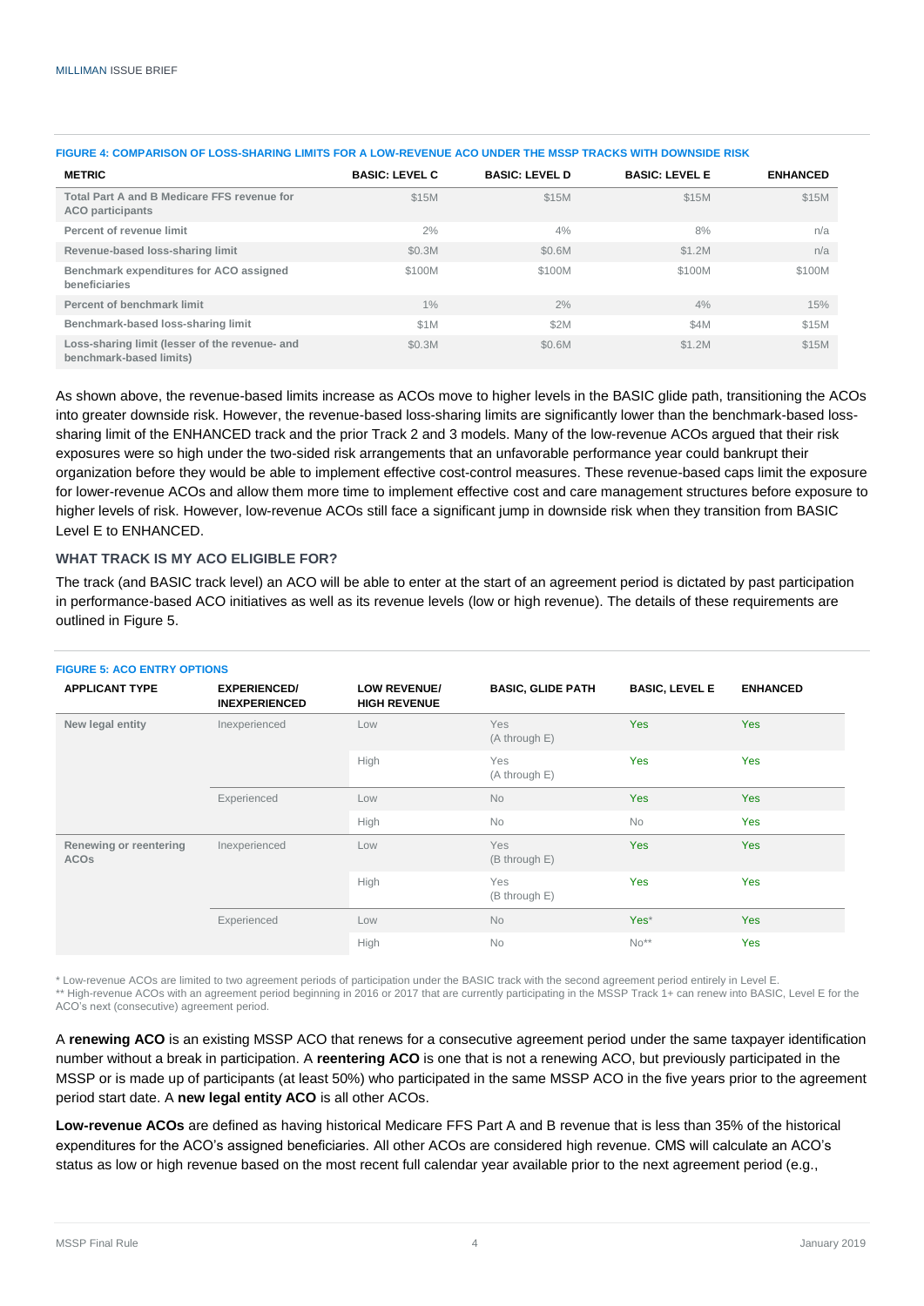| <b>METRIC</b>                                                             | <b>BASIC: LEVEL C</b> | <b>BASIC: LEVEL D</b> | <b>BASIC: LEVEL E</b> | <b>ENHANCED</b> |
|---------------------------------------------------------------------------|-----------------------|-----------------------|-----------------------|-----------------|
| Total Part A and B Medicare FFS revenue for<br><b>ACO</b> participants    | \$15M                 | \$15M                 | \$15M                 | \$15M           |
| Percent of revenue limit                                                  | 2%                    | 4%                    | 8%                    | n/a             |
| Revenue-based loss-sharing limit                                          | \$0.3M                | \$0.6M                | \$1.2M                | n/a             |
| Benchmark expenditures for ACO assigned<br>beneficiaries                  | \$100M                | \$100M                | \$100M                | \$100M          |
| Percent of benchmark limit                                                | 1%                    | 2%                    | 4%                    | 15%             |
| Benchmark-based loss-sharing limit                                        | \$1M                  | \$2M                  | \$4M                  | \$15M           |
| Loss-sharing limit (lesser of the revenue- and<br>benchmark-based limits) | \$0.3M                | \$0.6M                | \$1.2M                | \$15M           |

#### **FIGURE 4: COMPARISON OF LOSS-SHARING LIMITS FOR A LOW-REVENUE ACO UNDER THE MSSP TRACKS WITH DOWNSIDE RISK**

As shown above, the revenue-based limits increase as ACOs move to higher levels in the BASIC glide path, transitioning the ACOs into greater downside risk. However, the revenue-based loss-sharing limits are significantly lower than the benchmark-based losssharing limit of the ENHANCED track and the prior Track 2 and 3 models. Many of the low-revenue ACOs argued that their risk exposures were so high under the two-sided risk arrangements that an unfavorable performance year could bankrupt their organization before they would be able to implement effective cost-control measures. These revenue-based caps limit the exposure for lower-revenue ACOs and allow them more time to implement effective cost and care management structures before exposure to higher levels of risk. However, low-revenue ACOs still face a significant jump in downside risk when they transition from BASIC Level E to ENHANCED.

### **WHAT TRACK IS MY ACO ELIGIBLE FOR?**

The track (and BASIC track level) an ACO will be able to enter at the start of an agreement period is dictated by past participation in performance-based ACO initiatives as well as its revenue levels (low or high revenue). The details of these requirements are outlined in Figure 5.

| <b>FIGURE 5: ACO ENTRY OPTIONS</b>               |                                             |                                            |                             |                       |                 |
|--------------------------------------------------|---------------------------------------------|--------------------------------------------|-----------------------------|-----------------------|-----------------|
| <b>APPLICANT TYPE</b>                            | <b>EXPERIENCED/</b><br><b>INEXPERIENCED</b> | <b>LOW REVENUE/</b><br><b>HIGH REVENUE</b> | <b>BASIC, GLIDE PATH</b>    | <b>BASIC, LEVEL E</b> | <b>ENHANCED</b> |
| New legal entity                                 | Inexperienced                               | Low                                        | <b>Yes</b><br>(A through E) | <b>Yes</b>            | <b>Yes</b>      |
|                                                  |                                             | High                                       | Yes<br>(A through E)        | <b>Yes</b>            | Yes             |
|                                                  | Experienced                                 | Low                                        | <b>No</b>                   | Yes                   | <b>Yes</b>      |
|                                                  |                                             | High                                       | No                          | <b>No</b>             | Yes             |
| Renewing or reentering<br><b>ACO<sub>s</sub></b> | Inexperienced                               | Low                                        | <b>Yes</b><br>(B through E) | <b>Yes</b>            | <b>Yes</b>      |
|                                                  |                                             | High                                       | Yes<br>(B through E)        | <b>Yes</b>            | Yes             |
|                                                  | Experienced                                 | Low                                        | <b>No</b>                   | Yes*                  | <b>Yes</b>      |
|                                                  |                                             | High                                       | <b>No</b>                   | $No**$                | Yes             |

\* Low-revenue ACOs are limited to two agreement periods of participation under the BASIC track with the second agreement period entirely in Level E. \*\* High-revenue ACOs with an agreement period beginning in 2016 or 2017 that are currently participating in the MSSP Track 1+ can renew into BASIC, Level E for the ACO's next (consecutive) agreement period.

A **renewing ACO** is an existing MSSP ACO that renews for a consecutive agreement period under the same taxpayer identification number without a break in participation. A **reentering ACO** is one that is not a renewing ACO, but previously participated in the MSSP or is made up of participants (at least 50%) who participated in the same MSSP ACO in the five years prior to the agreement period start date. A **new legal entity ACO** is all other ACOs.

**Low-revenue ACOs** are defined as having historical Medicare FFS Part A and B revenue that is less than 35% of the historical expenditures for the ACO's assigned beneficiaries. All other ACOs are considered high revenue. CMS will calculate an ACO's status as low or high revenue based on the most recent full calendar year available prior to the next agreement period (e.g.,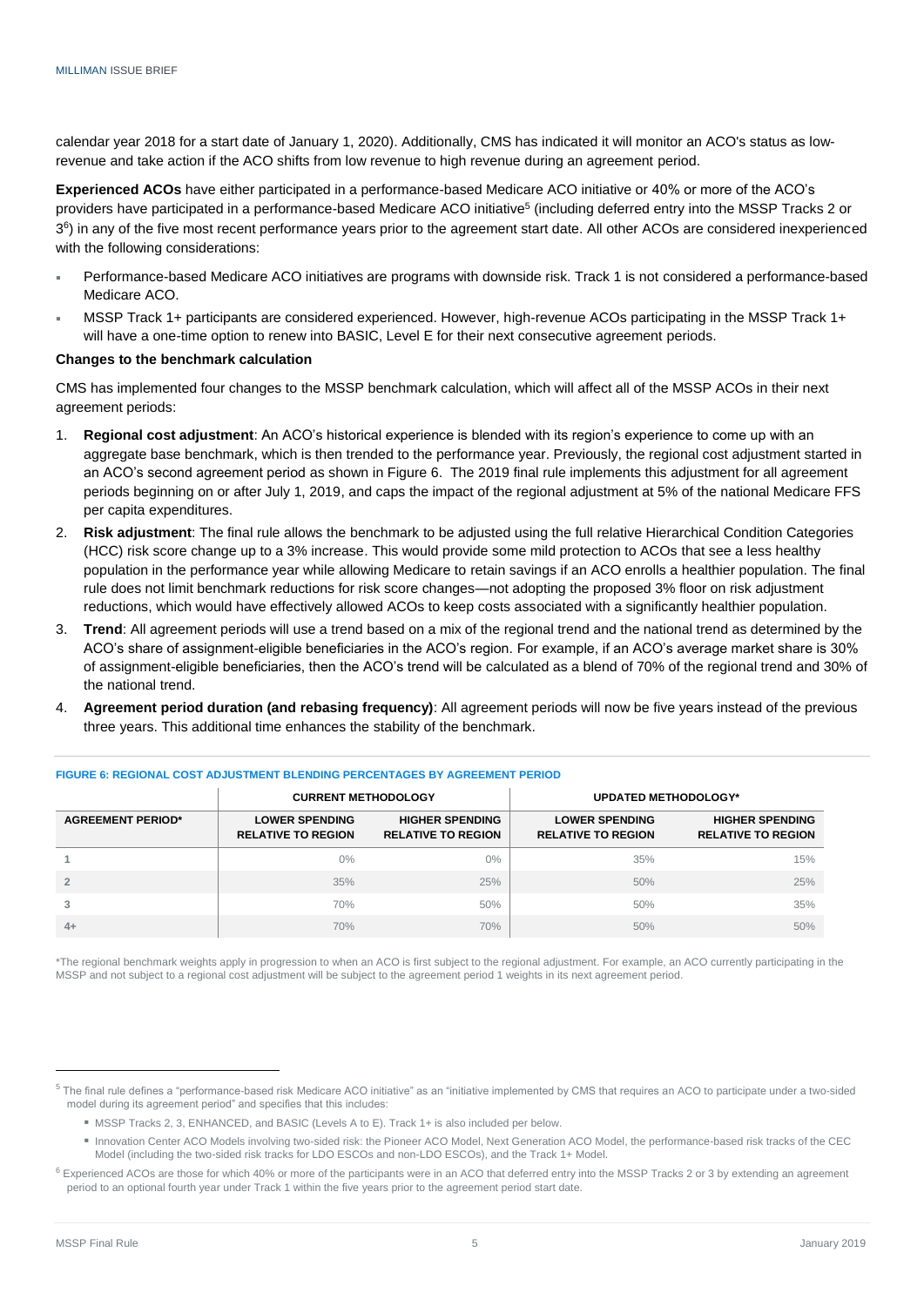calendar year 2018 for a start date of January 1, 2020). Additionally, CMS has indicated it will monitor an ACO's status as lowrevenue and take action if the ACO shifts from low revenue to high revenue during an agreement period.

**Experienced ACOs** have either participated in a performance-based Medicare ACO initiative or 40% or more of the ACO's providers have participated in a performance-based Medicare ACO initiative<sup>5</sup> (including deferred entry into the MSSP Tracks 2 or 3<sup>6</sup>) in any of the five most recent performance years prior to the agreement start date. All other ACOs are considered inexperienced with the following considerations:

- Performance-based Medicare ACO initiatives are programs with downside risk. Track 1 is not considered a performance-based Medicare ACO.
- MSSP Track 1+ participants are considered experienced. However, high-revenue ACOs participating in the MSSP Track 1+ will have a one-time option to renew into BASIC, Level E for their next consecutive agreement periods.

#### **Changes to the benchmark calculation**

CMS has implemented four changes to the MSSP benchmark calculation, which will affect all of the MSSP ACOs in their next agreement periods:

- 1. **Regional cost adjustment**: An ACO's historical experience is blended with its region's experience to come up with an aggregate base benchmark, which is then trended to the performance year. Previously, the regional cost adjustment started in an ACO's second agreement period as shown in Figure 6. The 2019 final rule implements this adjustment for all agreement periods beginning on or after July 1, 2019, and caps the impact of the regional adjustment at 5% of the national Medicare FFS per capita expenditures.
- 2. **Risk adjustment**: The final rule allows the benchmark to be adjusted using the full relative Hierarchical Condition Categories (HCC) risk score change up to a 3% increase. This would provide some mild protection to ACOs that see a less healthy population in the performance year while allowing Medicare to retain savings if an ACO enrolls a healthier population. The final rule does not limit benchmark reductions for risk score changes—not adopting the proposed 3% floor on risk adjustment reductions, which would have effectively allowed ACOs to keep costs associated with a significantly healthier population.
- 3. **Trend**: All agreement periods will use a trend based on a mix of the regional trend and the national trend as determined by the ACO's share of assignment-eligible beneficiaries in the ACO's region. For example, if an ACO's average market share is 30% of assignment-eligible beneficiaries, then the ACO's trend will be calculated as a blend of 70% of the regional trend and 30% of the national trend.
- 4. **Agreement period duration (and rebasing frequency)**: All agreement periods will now be five years instead of the previous three years. This additional time enhances the stability of the benchmark.

|                          | <b>CURRENT METHODOLOGY</b>                         |                                                     |                                                    | <b>UPDATED METHODOLOGY*</b>                         |
|--------------------------|----------------------------------------------------|-----------------------------------------------------|----------------------------------------------------|-----------------------------------------------------|
| <b>AGREEMENT PERIOD*</b> | <b>LOWER SPENDING</b><br><b>RELATIVE TO REGION</b> | <b>HIGHER SPENDING</b><br><b>RELATIVE TO REGION</b> | <b>LOWER SPENDING</b><br><b>RELATIVE TO REGION</b> | <b>HIGHER SPENDING</b><br><b>RELATIVE TO REGION</b> |
|                          | $0\%$                                              | 0%                                                  | 35%                                                | 15%                                                 |
|                          | 35%                                                | 25%                                                 | 50%                                                | 25%                                                 |
| 3                        | 70%                                                | 50%                                                 | 50%                                                | 35%                                                 |
| $4+$                     | 70%                                                | 70%                                                 | 50%                                                | 50%                                                 |

#### **FIGURE 6: REGIONAL COST ADJUSTMENT BLENDING PERCENTAGES BY AGREEMENT PERIOD**

\*The regional benchmark weights apply in progression to when an ACO is first subject to the regional adjustment. For example, an ACO currently participating in the MSSP and not subject to a regional cost adjustment will be subject to the agreement period 1 weights in its next agreement period.

-

<sup>&</sup>lt;sup>5</sup> The final rule defines a "performance-based risk Medicare ACO initiative" as an "initiative implemented by CMS that requires an ACO to participate under a two-sided model during its agreement period" and specifies that this includes:

MSSP Tracks 2, 3, ENHANCED, and BASIC (Levels A to E). Track 1+ is also included per below.

Innovation Center ACO Models involving two-sided risk: the Pioneer ACO Model, Next Generation ACO Model, the performance-based risk tracks of the CEC Model (including the two-sided risk tracks for LDO ESCOs and non-LDO ESCOs), and the Track 1+ Model.

 $6$  Experienced ACOs are those for which 40% or more of the participants were in an ACO that deferred entry into the MSSP Tracks 2 or 3 by extending an agreement period to an optional fourth year under Track 1 within the five years prior to the agreement period start date.